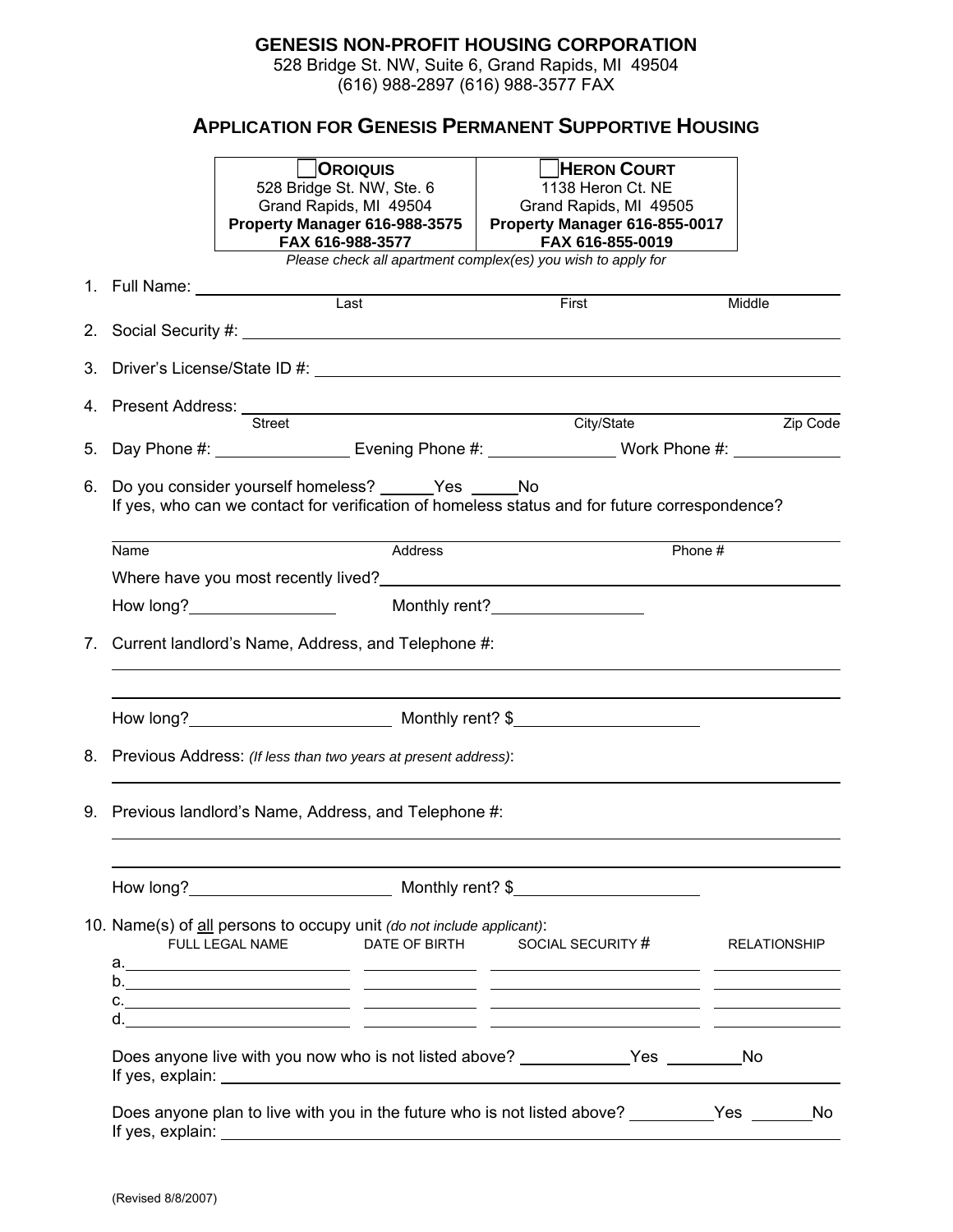## **GENESIS NON-PROFIT HOUSING CORPORATION**

528 Bridge St. NW, Suite 6, Grand Rapids, MI 49504 (616) 988-2897 (616) 988-3577 FAX

## **APPLICATION FOR GENESIS PERMANENT SUPPORTIVE HOUSING**

|                                                                                                                                                             |                                                                   | <b>OROIQUIS</b><br>528 Bridge St. NW, Ste. 6                                                                | <b>HERON COURT</b><br>1138 Heron Ct. NE                                                                                                                                                                                                |          |  |
|-------------------------------------------------------------------------------------------------------------------------------------------------------------|-------------------------------------------------------------------|-------------------------------------------------------------------------------------------------------------|----------------------------------------------------------------------------------------------------------------------------------------------------------------------------------------------------------------------------------------|----------|--|
|                                                                                                                                                             |                                                                   | Grand Rapids, MI 49504<br>Property Manager 616-988-3575   Property Manager 616-855-0017<br>FAX 616-988-3577 | Grand Rapids, MI 49505<br>FAX 616-855-0019                                                                                                                                                                                             |          |  |
|                                                                                                                                                             |                                                                   |                                                                                                             | Please check all apartment complex(es) you wish to apply for                                                                                                                                                                           |          |  |
|                                                                                                                                                             |                                                                   |                                                                                                             | First                                                                                                                                                                                                                                  | Middle   |  |
|                                                                                                                                                             |                                                                   |                                                                                                             |                                                                                                                                                                                                                                        |          |  |
|                                                                                                                                                             |                                                                   |                                                                                                             |                                                                                                                                                                                                                                        |          |  |
|                                                                                                                                                             |                                                                   | Street                                                                                                      | City/State                                                                                                                                                                                                                             | Zip Code |  |
|                                                                                                                                                             |                                                                   | 5. Day Phone #: ___________________________Evening Phone #: ___________________Work Phone #: _____________  |                                                                                                                                                                                                                                        |          |  |
| 6. Do you consider yourself homeless? _______Yes _______No<br>If yes, who can we contact for verification of homeless status and for future correspondence? |                                                                   |                                                                                                             |                                                                                                                                                                                                                                        |          |  |
|                                                                                                                                                             | Name                                                              | Address                                                                                                     | Phone #                                                                                                                                                                                                                                |          |  |
|                                                                                                                                                             |                                                                   | Where have you most recently lived?<br><u> Where have you most recently lived?</u>                          |                                                                                                                                                                                                                                        |          |  |
|                                                                                                                                                             |                                                                   |                                                                                                             | Monthly rent?<br><u>Letter and the set of the set of the set of the set of the set of the set of the set of the set of the set of the set of the set of the set of the set of the set of the set of the set of the set of the set </u> |          |  |
| 7. Current landlord's Name, Address, and Telephone #:                                                                                                       |                                                                   |                                                                                                             |                                                                                                                                                                                                                                        |          |  |
|                                                                                                                                                             |                                                                   | How long? Monthly rent? \$                                                                                  |                                                                                                                                                                                                                                        |          |  |
|                                                                                                                                                             | 8. Previous Address: (If less than two years at present address): |                                                                                                             |                                                                                                                                                                                                                                        |          |  |
| 9. Previous landlord's Name, Address, and Telephone #:                                                                                                      |                                                                   |                                                                                                             |                                                                                                                                                                                                                                        |          |  |
|                                                                                                                                                             |                                                                   |                                                                                                             |                                                                                                                                                                                                                                        |          |  |
|                                                                                                                                                             |                                                                   | 10. Name(s) of all persons to occupy unit (do not include applicant):<br>FULL LEGAL NAME                    | DATE OF BIRTH SOCIAL SECURITY # RELATIONSHIP                                                                                                                                                                                           |          |  |
|                                                                                                                                                             |                                                                   |                                                                                                             |                                                                                                                                                                                                                                        |          |  |
|                                                                                                                                                             |                                                                   |                                                                                                             |                                                                                                                                                                                                                                        |          |  |
|                                                                                                                                                             |                                                                   |                                                                                                             |                                                                                                                                                                                                                                        |          |  |
|                                                                                                                                                             |                                                                   | Does anyone plan to live with you in the future who is not listed above? __________Yes ________No           |                                                                                                                                                                                                                                        |          |  |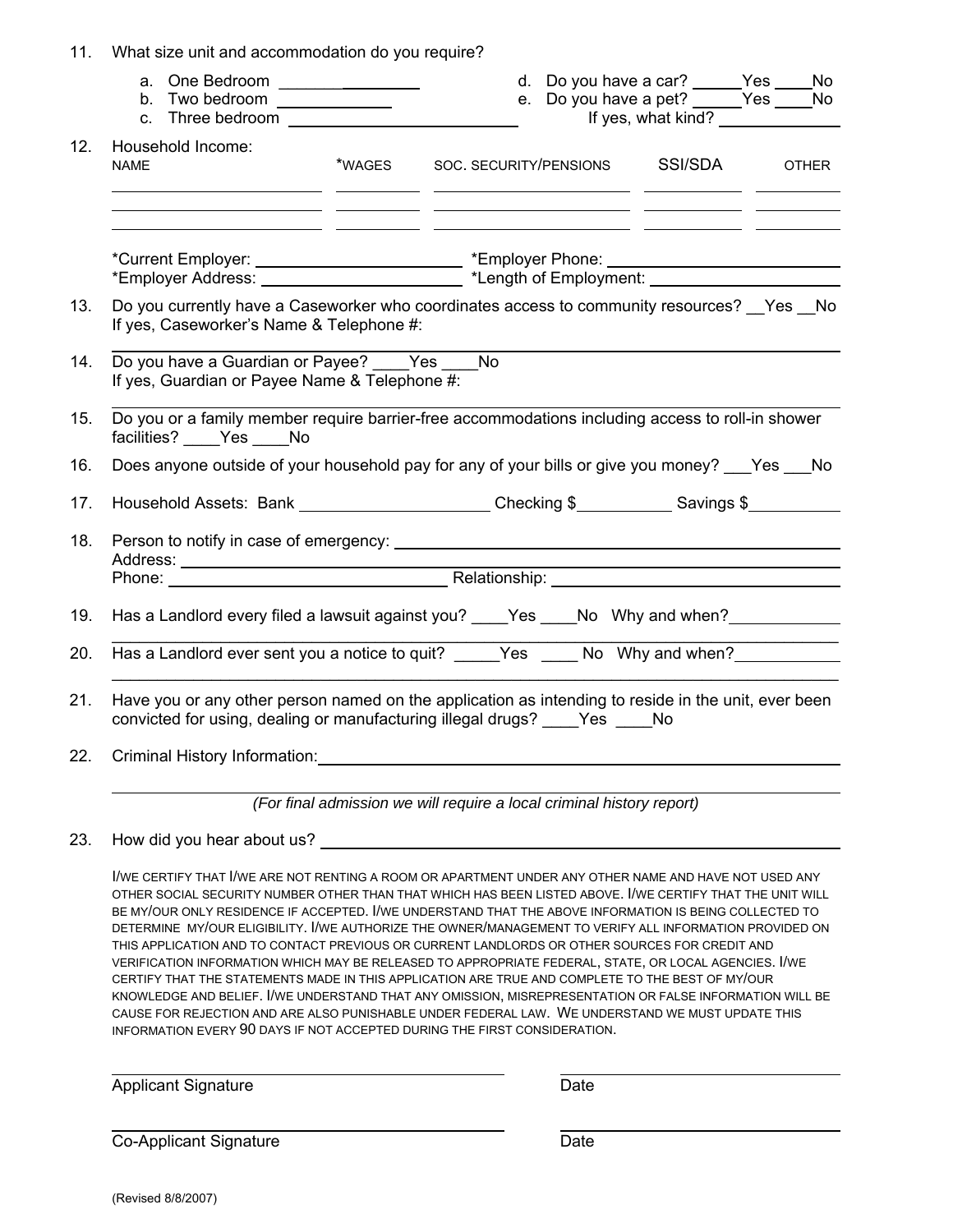| 11. | What size unit and accommodation do you require?                                                                                                                                     |        |                        |  |                                                                                                       |  |              |
|-----|--------------------------------------------------------------------------------------------------------------------------------------------------------------------------------------|--------|------------------------|--|-------------------------------------------------------------------------------------------------------|--|--------------|
|     | a. One Bedroom __________________<br>b. Two bedroom $\frac{1}{\sqrt{1-\frac{1}{2}}\cdot\frac{1}{\sqrt{1-\frac{1}{2}}}}$                                                              |        |                        |  | d. Do you have a car? ______ Yes _____ No<br>e. Do you have a pet? Ves _____ No<br>If yes, what kind? |  |              |
| 12. | Household Income:<br><b>NAME</b><br><u> 1999 - Jan James James, politik američki politik († 1908)</u>                                                                                | *WAGES | SOC. SECURITY/PENSIONS |  | SSI/SDA                                                                                               |  | <b>OTHER</b> |
|     |                                                                                                                                                                                      |        |                        |  |                                                                                                       |  |              |
| 13. | Do you currently have a Caseworker who coordinates access to community resources? Yes No<br>If yes, Caseworker's Name & Telephone #:                                                 |        |                        |  |                                                                                                       |  |              |
| 14. | Do you have a Guardian or Payee? Yes No<br>If yes, Guardian or Payee Name & Telephone #:                                                                                             |        |                        |  |                                                                                                       |  |              |
| 15. | Do you or a family member require barrier-free accommodations including access to roll-in shower<br>facilities? Yes No                                                               |        |                        |  |                                                                                                       |  |              |
| 16. | Does anyone outside of your household pay for any of your bills or give you money? ___ Yes ___ No                                                                                    |        |                        |  |                                                                                                       |  |              |
| 17. | Household Assets: Bank ______________________Checking \$____________Savings \$__________                                                                                             |        |                        |  |                                                                                                       |  |              |
| 18. |                                                                                                                                                                                      |        |                        |  |                                                                                                       |  |              |
|     | Phone: Relationship: Relationship:                                                                                                                                                   |        |                        |  |                                                                                                       |  |              |
| 19. | Has a Landlord every filed a lawsuit against you? ____Yes ____No Why and when? _____________________                                                                                 |        |                        |  |                                                                                                       |  |              |
| 20. | Has a Landlord ever sent you a notice to quit? _____ Yes _____ No Why and when?________                                                                                              |        |                        |  |                                                                                                       |  |              |
| 21. | Have you or any other person named on the application as intending to reside in the unit, ever been<br>convicted for using, dealing or manufacturing illegal drugs? ____ Yes ____ No |        |                        |  |                                                                                                       |  |              |
| 22. | Criminal History Information: North American Criminal History Information:                                                                                                           |        |                        |  |                                                                                                       |  |              |
|     | (For final admission we will require a local criminal history report)                                                                                                                |        |                        |  |                                                                                                       |  |              |

23. How did you hear about us?

I/WE CERTIFY THAT I/WE ARE NOT RENTING A ROOM OR APARTMENT UNDER ANY OTHER NAME AND HAVE NOT USED ANY OTHER SOCIAL SECURITY NUMBER OTHER THAN THAT WHICH HAS BEEN LISTED ABOVE. I/WE CERTIFY THAT THE UNIT WILL BE MY/OUR ONLY RESIDENCE IF ACCEPTED. I/WE UNDERSTAND THAT THE ABOVE INFORMATION IS BEING COLLECTED TO DETERMINE MY/OUR ELIGIBILITY. I/WE AUTHORIZE THE OWNER/MANAGEMENT TO VERIFY ALL INFORMATION PROVIDED ON THIS APPLICATION AND TO CONTACT PREVIOUS OR CURRENT LANDLORDS OR OTHER SOURCES FOR CREDIT AND VERIFICATION INFORMATION WHICH MAY BE RELEASED TO APPROPRIATE FEDERAL, STATE, OR LOCAL AGENCIES. I/WE CERTIFY THAT THE STATEMENTS MADE IN THIS APPLICATION ARE TRUE AND COMPLETE TO THE BEST OF MY/OUR KNOWLEDGE AND BELIEF. I/WE UNDERSTAND THAT ANY OMISSION, MISREPRESENTATION OR FALSE INFORMATION WILL BE CAUSE FOR REJECTION AND ARE ALSO PUNISHABLE UNDER FEDERAL LAW. WE UNDERSTAND WE MUST UPDATE THIS INFORMATION EVERY 90 DAYS IF NOT ACCEPTED DURING THE FIRST CONSIDERATION.

Applicant Signature Date

Co-Applicant Signature Date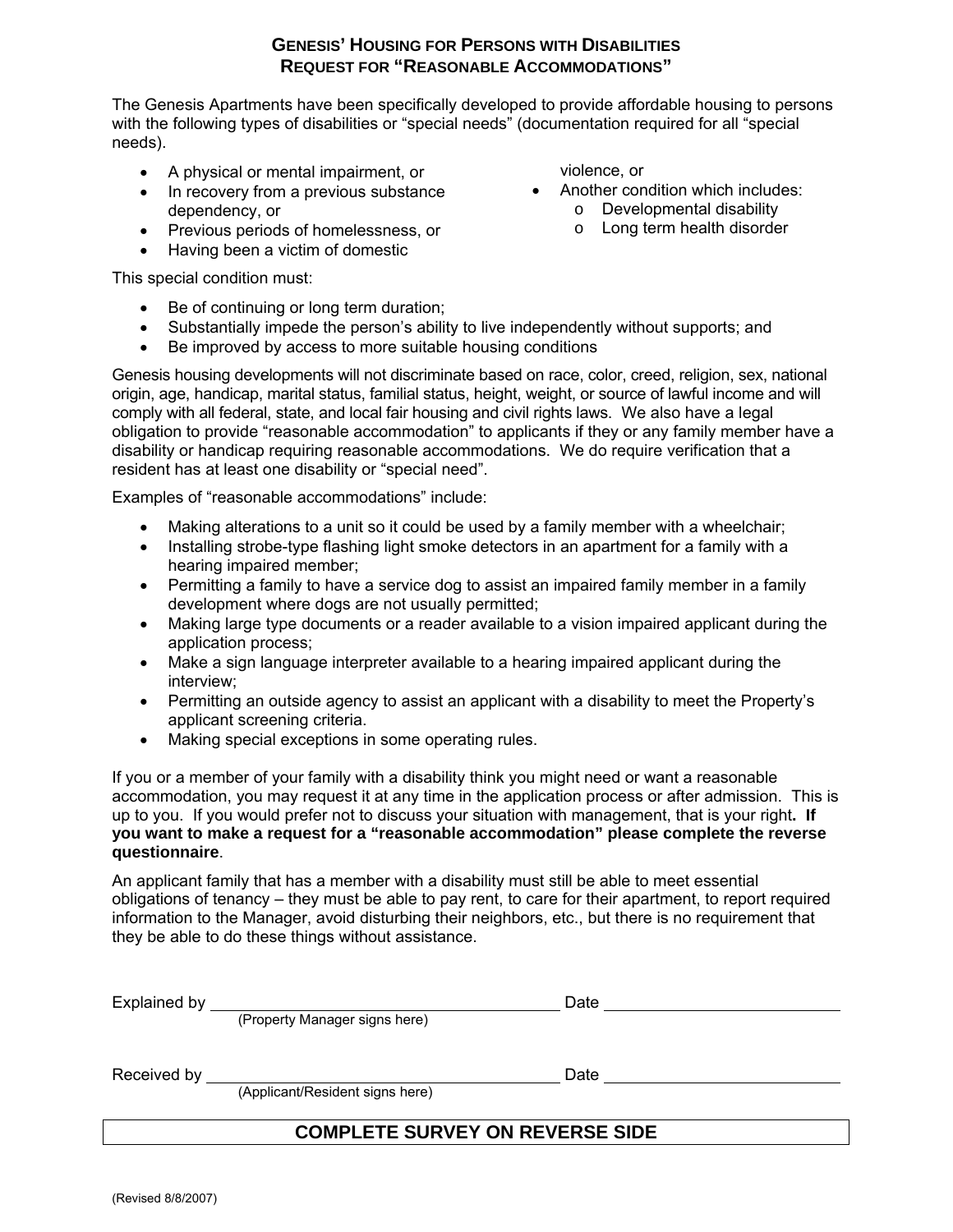## **GENESIS' HOUSING FOR PERSONS WITH DISABILITIES REQUEST FOR "REASONABLE ACCOMMODATIONS"**

The Genesis Apartments have been specifically developed to provide affordable housing to persons with the following types of disabilities or "special needs" (documentation required for all "special needs).

- A physical or mental impairment, or
- In recovery from a previous substance Another condition which includes: dependency, or
- Previous periods of homelessness, or
- Having been a victim of domestic

This special condition must:

- Be of continuing or long term duration;
- Substantially impede the person's ability to live independently without supports; and
- Be improved by access to more suitable housing conditions

Genesis housing developments will not discriminate based on race, color, creed, religion, sex, national origin, age, handicap, marital status, familial status, height, weight, or source of lawful income and will comply with all federal, state, and local fair housing and civil rights laws. We also have a legal obligation to provide "reasonable accommodation" to applicants if they or any family member have a disability or handicap requiring reasonable accommodations. We do require verification that a resident has at least one disability or "special need".

Examples of "reasonable accommodations" include:

- Making alterations to a unit so it could be used by a family member with a wheelchair;
- Installing strobe-type flashing light smoke detectors in an apartment for a family with a hearing impaired member;
- Permitting a family to have a service dog to assist an impaired family member in a family development where dogs are not usually permitted;
- Making large type documents or a reader available to a vision impaired applicant during the application process;
- Make a sign language interpreter available to a hearing impaired applicant during the interview;
- Permitting an outside agency to assist an applicant with a disability to meet the Property's applicant screening criteria.
- Making special exceptions in some operating rules.

If you or a member of your family with a disability think you might need or want a reasonable accommodation, you may request it at any time in the application process or after admission. This is up to you. If you would prefer not to discuss your situation with management, that is your right**. If you want to make a request for a "reasonable accommodation" please complete the reverse questionnaire**.

An applicant family that has a member with a disability must still be able to meet essential obligations of tenancy – they must be able to pay rent, to care for their apartment, to report required information to the Manager, avoid disturbing their neighbors, etc., but there is no requirement that they be able to do these things without assistance.

|                                        | (Property Manager signs here)   |      |  |
|----------------------------------------|---------------------------------|------|--|
| Received by                            | (Applicant/Resident signs here) | Date |  |
| <b>COMPLETE SURVEY ON REVERSE SIDE</b> |                                 |      |  |

violence, or

- - o Developmental disability
	- o Long term health disorder